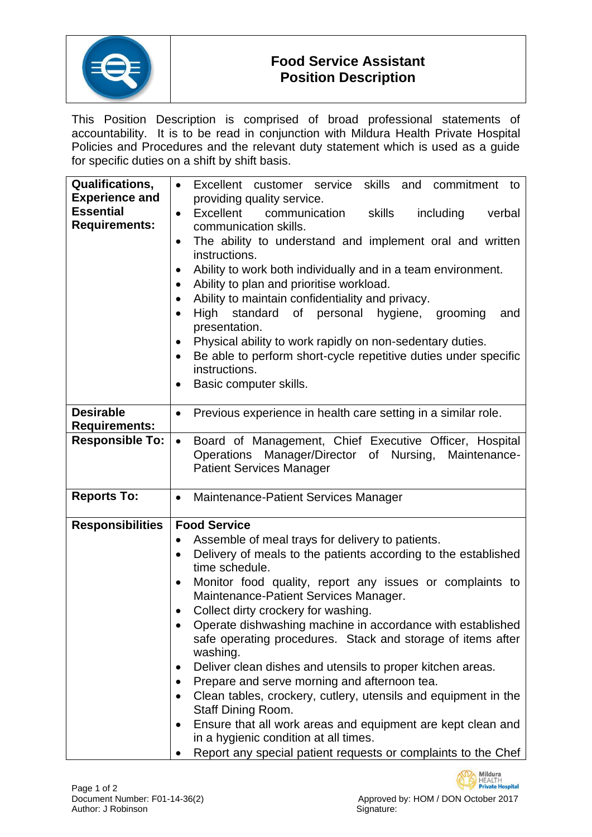

## **Food Service Assistant Position Description**

This Position Description is comprised of broad professional statements of accountability. It is to be read in conjunction with Mildura Health Private Hospital Policies and Procedures and the relevant duty statement which is used as a guide for specific duties on a shift by shift basis.

| <b>Qualifications,</b><br><b>Experience and</b><br><b>Essential</b><br><b>Requirements:</b> | Excellent customer service skills and commitment to<br>$\bullet$<br>providing quality service.<br>Excellent<br>skills<br>communication<br>including<br>verbal<br>$\bullet$<br>communication skills.<br>The ability to understand and implement oral and written<br>$\bullet$<br>instructions.<br>Ability to work both individually and in a team environment.<br>$\bullet$<br>Ability to plan and prioritise workload.<br>$\bullet$<br>Ability to maintain confidentiality and privacy.<br>$\bullet$<br>High<br>standard<br>of personal hygiene, grooming<br>and<br>presentation.<br>Physical ability to work rapidly on non-sedentary duties.<br>$\bullet$<br>Be able to perform short-cycle repetitive duties under specific<br>$\bullet$                                                                                                                                                                                |
|---------------------------------------------------------------------------------------------|----------------------------------------------------------------------------------------------------------------------------------------------------------------------------------------------------------------------------------------------------------------------------------------------------------------------------------------------------------------------------------------------------------------------------------------------------------------------------------------------------------------------------------------------------------------------------------------------------------------------------------------------------------------------------------------------------------------------------------------------------------------------------------------------------------------------------------------------------------------------------------------------------------------------------|
|                                                                                             | instructions.<br>Basic computer skills.                                                                                                                                                                                                                                                                                                                                                                                                                                                                                                                                                                                                                                                                                                                                                                                                                                                                                    |
| <b>Desirable</b><br><b>Requirements:</b>                                                    | Previous experience in health care setting in a similar role.<br>$\bullet$                                                                                                                                                                                                                                                                                                                                                                                                                                                                                                                                                                                                                                                                                                                                                                                                                                                 |
| <b>Responsible To:</b>                                                                      | Board of Management, Chief Executive Officer, Hospital<br>$\bullet$<br>Operations Manager/Director of Nursing, Maintenance-<br><b>Patient Services Manager</b>                                                                                                                                                                                                                                                                                                                                                                                                                                                                                                                                                                                                                                                                                                                                                             |
| <b>Reports To:</b>                                                                          | Maintenance-Patient Services Manager<br>$\bullet$                                                                                                                                                                                                                                                                                                                                                                                                                                                                                                                                                                                                                                                                                                                                                                                                                                                                          |
| <b>Responsibilities</b>                                                                     | <b>Food Service</b><br>Assemble of meal trays for delivery to patients.<br>$\bullet$<br>Delivery of meals to the patients according to the established<br>$\bullet$<br>time schedule.<br>Monitor food quality, report any issues or complaints to<br>$\bullet$<br>Maintenance-Patient Services Manager.<br>Collect dirty crockery for washing.<br>$\bullet$<br>Operate dishwashing machine in accordance with established<br>safe operating procedures. Stack and storage of items after<br>washing.<br>Deliver clean dishes and utensils to proper kitchen areas.<br>$\bullet$<br>Prepare and serve morning and afternoon tea.<br>$\bullet$<br>Clean tables, crockery, cutlery, utensils and equipment in the<br>$\bullet$<br>Staff Dining Room.<br>Ensure that all work areas and equipment are kept clean and<br>in a hygienic condition at all times.<br>Report any special patient requests or complaints to the Chef |